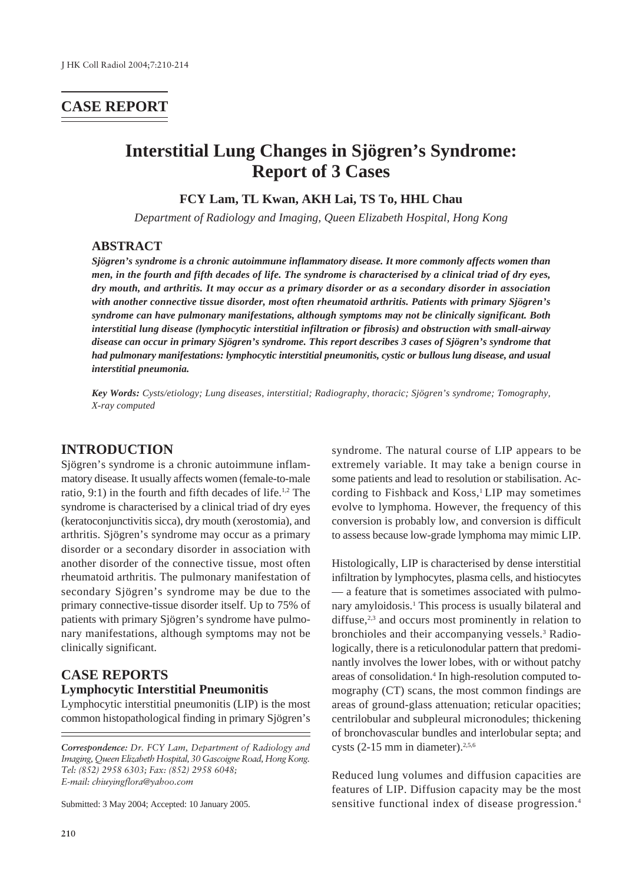# **CASE REPORT**

# **Interstitial Lung Changes in Sjögren's Syndrome: Report of 3 Cases**

**FCY Lam, TL Kwan, AKH Lai, TS To, HHL Chau**

*Department of Radiology and Imaging, Queen Elizabeth Hospital, Hong Kong*

### **ABSTRACT**

*Sjögren's syndrome is a chronic autoimmune inflammatory disease. It more commonly affects women than men, in the fourth and fifth decades of life. The syndrome is characterised by a clinical triad of dry eyes, dry mouth, and arthritis. It may occur as a primary disorder or as a secondary disorder in association with another connective tissue disorder, most often rheumatoid arthritis. Patients with primary Sjögren's syndrome can have pulmonary manifestations, although symptoms may not be clinically significant. Both interstitial lung disease (lymphocytic interstitial infiltration or fibrosis) and obstruction with small-airway disease can occur in primary Sjögren's syndrome. This report describes 3 cases of Sjögren's syndrome that had pulmonary manifestations: lymphocytic interstitial pneumonitis, cystic or bullous lung disease, and usual interstitial pneumonia.*

*Key Words: Cysts/etiology; Lung diseases, interstitial; Radiography, thoracic; Sjögren's syndrome; Tomography, X-ray computed*

### **INTRODUCTION**

Sjögren's syndrome is a chronic autoimmune inflammatory disease. It usually affects women (female-to-male ratio,  $9:1$ ) in the fourth and fifth decades of life.<sup>1,2</sup> The syndrome is characterised by a clinical triad of dry eyes (keratoconjunctivitis sicca), dry mouth (xerostomia), and arthritis. Sjögren's syndrome may occur as a primary disorder or a secondary disorder in association with another disorder of the connective tissue, most often rheumatoid arthritis. The pulmonary manifestation of secondary Sjögren's syndrome may be due to the primary connective-tissue disorder itself. Up to 75% of patients with primary Sjögren's syndrome have pulmonary manifestations, although symptoms may not be clinically significant.

# **CASE REPORTS Lymphocytic Interstitial Pneumonitis**

Lymphocytic interstitial pneumonitis (LIP) is the most common histopathological finding in primary Sjögren's

Submitted: 3 May 2004; Accepted: 10 January 2005.

syndrome. The natural course of LIP appears to be extremely variable. It may take a benign course in some patients and lead to resolution or stabilisation. According to Fishback and Koss,<sup>1</sup> LIP may sometimes evolve to lymphoma. However, the frequency of this conversion is probably low, and conversion is difficult to assess because low-grade lymphoma may mimic LIP.

Histologically, LIP is characterised by dense interstitial infiltration by lymphocytes, plasma cells, and histiocytes — a feature that is sometimes associated with pulmonary amyloidosis.<sup>1</sup> This process is usually bilateral and diffuse, $2,3$  and occurs most prominently in relation to bronchioles and their accompanying vessels.<sup>3</sup> Radiologically, there is a reticulonodular pattern that predominantly involves the lower lobes, with or without patchy areas of consolidation.4 In high-resolution computed tomography (CT) scans, the most common findings are areas of ground-glass attenuation; reticular opacities; centrilobular and subpleural micronodules; thickening of bronchovascular bundles and interlobular septa; and cysts  $(2-15$  mm in diameter).<sup>2,5,6</sup>

Reduced lung volumes and diffusion capacities are features of LIP. Diffusion capacity may be the most sensitive functional index of disease progression.4

*Correspondence: Dr. FCY Lam, Department of Radiology and Imaging, Queen Elizabeth Hospital, 30 Gascoigne Road, Hong Kong. Tel: (852) 2958 6303; Fax: (852) 2958 6048; E-mail: chiuyingflora@yahoo.com*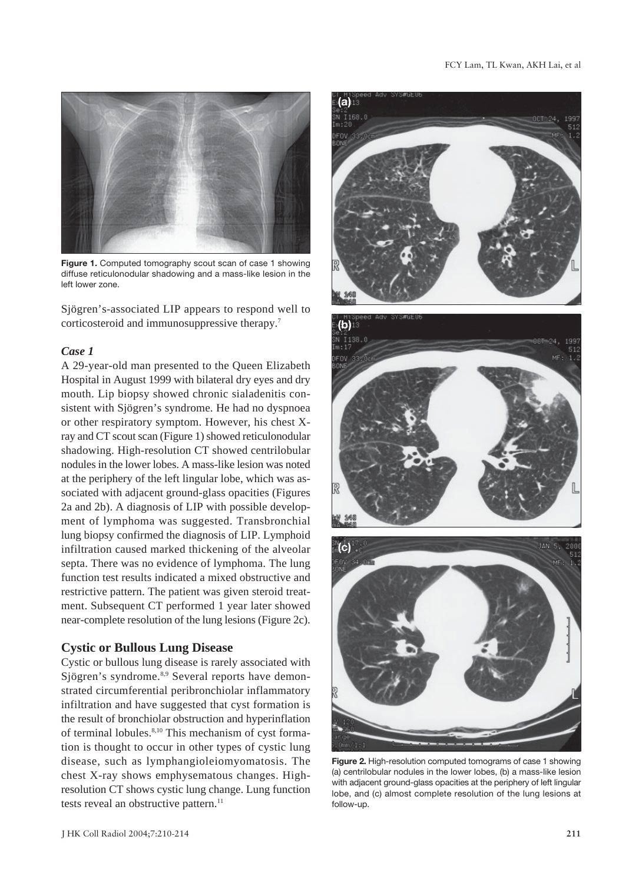

**Figure 1.** Computed tomography scout scan of case 1 showing diffuse reticulonodular shadowing and a mass-like lesion in the left lower zone.

Sjögren's-associated LIP appears to respond well to corticosteroid and immunosuppressive therapy.7

### *Case 1*

A 29-year-old man presented to the Queen Elizabeth Hospital in August 1999 with bilateral dry eyes and dry mouth. Lip biopsy showed chronic sialadenitis consistent with Sjögren's syndrome. He had no dyspnoea or other respiratory symptom. However, his chest Xray and CT scout scan (Figure 1) showed reticulonodular shadowing. High-resolution CT showed centrilobular nodules in the lower lobes. A mass-like lesion was noted at the periphery of the left lingular lobe, which was associated with adjacent ground-glass opacities (Figures 2a and 2b). A diagnosis of LIP with possible development of lymphoma was suggested. Transbronchial lung biopsy confirmed the diagnosis of LIP. Lymphoid infiltration caused marked thickening of the alveolar septa. There was no evidence of lymphoma. The lung function test results indicated a mixed obstructive and restrictive pattern. The patient was given steroid treatment. Subsequent CT performed 1 year later showed near-complete resolution of the lung lesions (Figure 2c).

### **Cystic or Bullous Lung Disease**

Cystic or bullous lung disease is rarely associated with Sjögren's syndrome.8,9 Several reports have demonstrated circumferential peribronchiolar inflammatory infiltration and have suggested that cyst formation is the result of bronchiolar obstruction and hyperinflation of terminal lobules.<sup>8,10</sup> This mechanism of cyst formation is thought to occur in other types of cystic lung disease, such as lymphangioleiomyomatosis. The chest X-ray shows emphysematous changes. Highresolution CT shows cystic lung change. Lung function tests reveal an obstructive pattern.<sup>11</sup>



**Figure 2.** High-resolution computed tomograms of case 1 showing (a) centrilobular nodules in the lower lobes, (b) a mass-like lesion with adjacent ground-glass opacities at the periphery of left lingular lobe, and (c) almost complete resolution of the lung lesions at follow-up.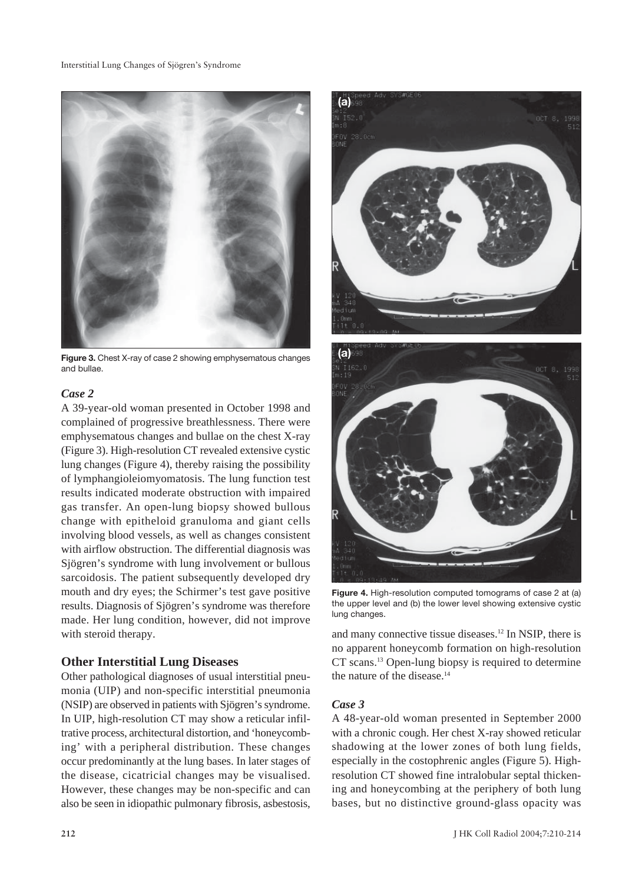

**Figure 3.** Chest X-ray of case 2 showing emphysematous changes and bullae.

#### *Case 2*

A 39-year-old woman presented in October 1998 and complained of progressive breathlessness. There were emphysematous changes and bullae on the chest X-ray (Figure 3). High-resolution CT revealed extensive cystic lung changes (Figure 4), thereby raising the possibility of lymphangioleiomyomatosis. The lung function test results indicated moderate obstruction with impaired gas transfer. An open-lung biopsy showed bullous change with epitheloid granuloma and giant cells involving blood vessels, as well as changes consistent with airflow obstruction. The differential diagnosis was Sjögren's syndrome with lung involvement or bullous sarcoidosis. The patient subsequently developed dry mouth and dry eyes; the Schirmer's test gave positive results. Diagnosis of Sjögren's syndrome was therefore made. Her lung condition, however, did not improve with steroid therapy.

### **Other Interstitial Lung Diseases**

Other pathological diagnoses of usual interstitial pneumonia (UIP) and non-specific interstitial pneumonia (NSIP) are observed in patients with Sjögren's syndrome. In UIP, high-resolution CT may show a reticular infiltrative process, architectural distortion, and 'honeycombing' with a peripheral distribution. These changes occur predominantly at the lung bases. In later stages of the disease, cicatricial changes may be visualised. However, these changes may be non-specific and can also be seen in idiopathic pulmonary fibrosis, asbestosis,



**Figure 4.** High-resolution computed tomograms of case 2 at (a) the upper level and (b) the lower level showing extensive cystic lung changes.

and many connective tissue diseases.12 In NSIP, there is no apparent honeycomb formation on high-resolution CT scans.13 Open-lung biopsy is required to determine the nature of the disease.14

#### *Case 3*

A 48-year-old woman presented in September 2000 with a chronic cough. Her chest X-ray showed reticular shadowing at the lower zones of both lung fields, especially in the costophrenic angles (Figure 5). Highresolution CT showed fine intralobular septal thickening and honeycombing at the periphery of both lung bases, but no distinctive ground-glass opacity was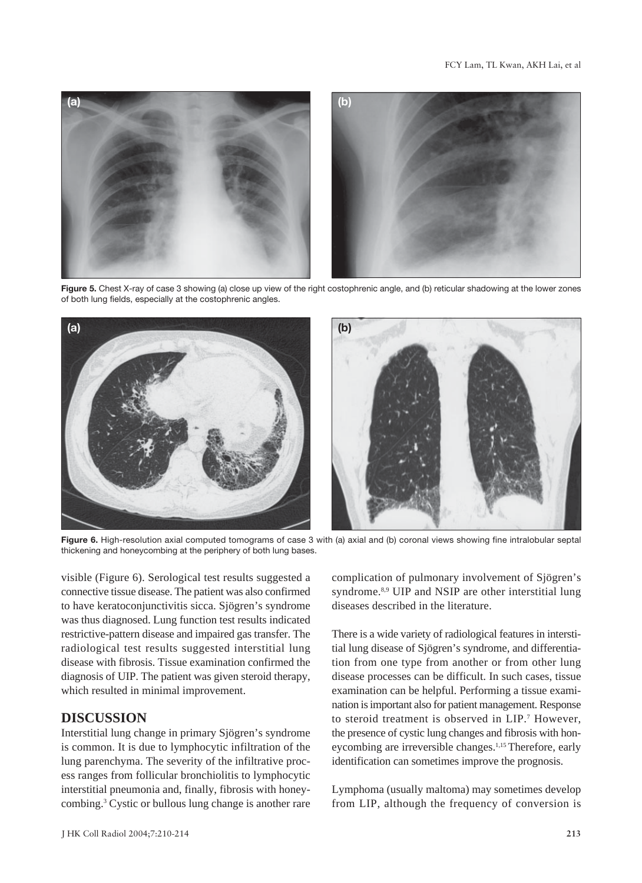

**Figure 5.** Chest X-ray of case 3 showing (a) close up view of the right costophrenic angle, and (b) reticular shadowing at the lower zones of both lung fields, especially at the costophrenic angles.



**Figure 6.** High-resolution axial computed tomograms of case 3 with (a) axial and (b) coronal views showing fine intralobular septal thickening and honeycombing at the periphery of both lung bases.

visible (Figure 6). Serological test results suggested a connective tissue disease. The patient was also confirmed to have keratoconjunctivitis sicca. Sjögren's syndrome was thus diagnosed. Lung function test results indicated restrictive-pattern disease and impaired gas transfer. The radiological test results suggested interstitial lung disease with fibrosis. Tissue examination confirmed the diagnosis of UIP. The patient was given steroid therapy, which resulted in minimal improvement.

### **DISCUSSION**

Interstitial lung change in primary Sjögren's syndrome is common. It is due to lymphocytic infiltration of the lung parenchyma. The severity of the infiltrative process ranges from follicular bronchiolitis to lymphocytic interstitial pneumonia and, finally, fibrosis with honeycombing.3 Cystic or bullous lung change is another rare

complication of pulmonary involvement of Sjögren's syndrome.<sup>8,9</sup> UIP and NSIP are other interstitial lung diseases described in the literature.

There is a wide variety of radiological features in interstitial lung disease of Sjögren's syndrome, and differentiation from one type from another or from other lung disease processes can be difficult. In such cases, tissue examination can be helpful. Performing a tissue examination is important also for patient management. Response to steroid treatment is observed in LIP.7 However, the presence of cystic lung changes and fibrosis with honeycombing are irreversible changes.<sup>1,15</sup> Therefore, early identification can sometimes improve the prognosis.

Lymphoma (usually maltoma) may sometimes develop from LIP, although the frequency of conversion is